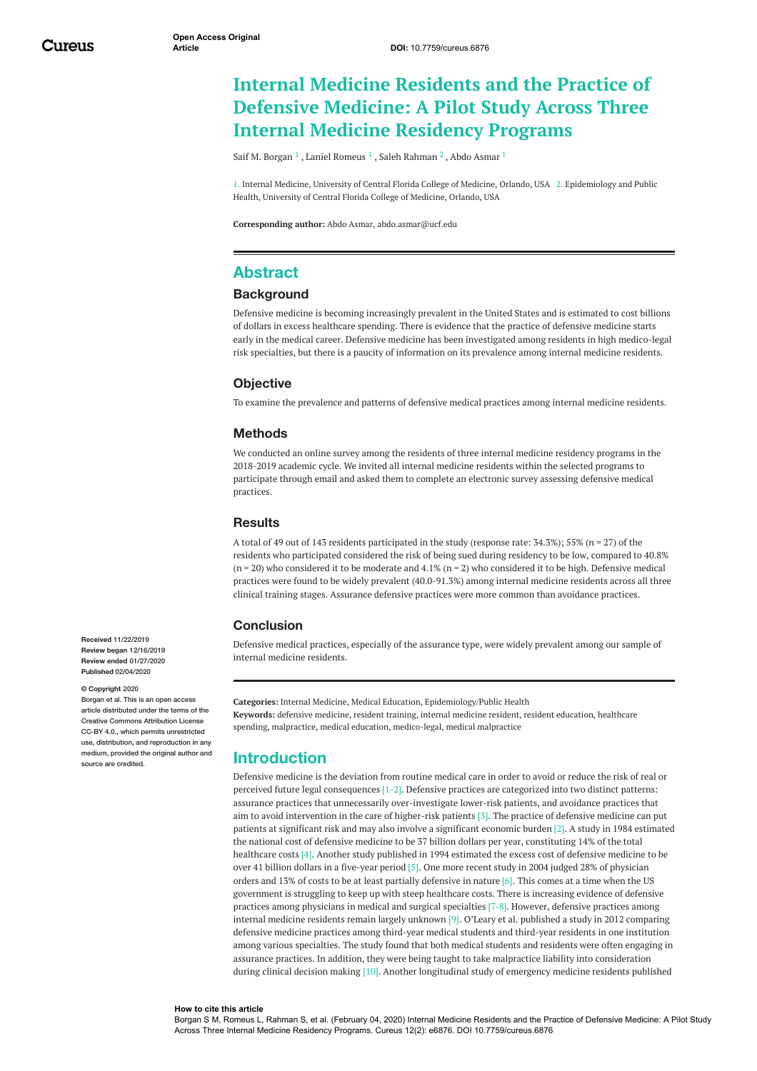# **Internal Medicine Residents and the Practice of Defensive Medicine: A Pilot Study Across Three Internal Medicine Residency Programs**

Saif M. [Borgan](https://www.cureus.com/users/120156-saif-m-borgan)  $^1$  , Laniel [Romeus](https://www.cureus.com/users/138648-laniel-romeus)  $^1$  , Saleh [Rahman](https://www.cureus.com/users/30471-saleh-rahman)  $^2$  , Abdo [Asmar](https://www.cureus.com/users/9877-abdo-asmar)  $^1$ 

1. Internal Medicine, University of Central Florida College of Medicine, Orlando, USA 2. Epidemiology and Public Health, University of Central Florida College of Medicine, Orlando, USA

**Corresponding author:** Abdo Asmar, abdo.asmar@ucf.edu

# **Abstract**

### **Background**

Defensive medicine is becoming increasingly prevalent in the United States and is estimated to cost billions of dollars in excess healthcare spending. There is evidence that the practice of defensive medicine starts early in the medical career. Defensive medicine has been investigated among residents in high medico-legal risk specialties, but there is a paucity of information on its prevalence among internal medicine residents.

### **Objective**

To examine the prevalence and patterns of defensive medical practices among internal medicine residents.

#### **Methods**

We conducted an online survey among the residents of three internal medicine residency programs in the 2018-2019 academic cycle. We invited all internal medicine residents within the selected programs to participate through email and asked them to complete an electronic survey assessing defensive medical practices.

### **Results**

A total of 49 out of 143 residents participated in the study (response rate: 34.3%); 55% (n = 27) of the residents who participated considered the risk of being sued during residency to be low, compared to 40.8% (n = 20) who considered it to be moderate and  $4.1\%$  (n = 2) who considered it to be high. Defensive medical practices were found to be widely prevalent (40.0-91.3%) among internal medicine residents across all three clinical training stages. Assurance defensive practices were more common than avoidance practices.

#### **Conclusion**

Defensive medical practices, especially of the assurance type, were widely prevalent among our sample of internal medicine residents.

**Categories:** Internal Medicine, Medical Education, Epidemiology/Public Health **Keywords:** defensive medicine, resident training, internal medicine resident, resident education, healthcare spending, malpractice, medical education, medico-legal, medical malpractice

# **Introduction**

Defensive medicine is the deviation from routine medical care in order to avoid or reduce the risk of real or perceived future legal consequences [1-2]. Defensive practices are categorized into two distinct patterns: assurance practices that unnecessarily over-investigate lower-risk patients, and avoidance practices that aim to avoid intervention in the care of higher-risk patients [3]. The practice of defensive medicine can put patients at significant risk and may also involve a significant economic burden [2]. A study in 1984 estimated the national cost of defensive medicine to be 37 billion dollars per year, constituting 14% of the total healthcare costs [4]. Another study published in 1994 estimated the excess cost of defensive medicine to be over 41 billion dollars in a five-year period [5]. One more recent study in 2004 judged 28% of physician orders and 13% of costs to be at least partially defensive in nature [6]. This comes at a time when the US government is struggling to keep up with steep healthcare costs. There is increasing evidence of defensive practices among physicians in medical and surgical specialties [7-8]. However, defensive practices among internal medicine residents remain largely unknown [9]. O'Leary et al. published a study in 2012 comparing defensive medicine practices among third-year medical students and third-year residents in one institution among various specialties. The study found that both medical students and residents were often engaging in assurance practices. In addition, they were being taught to take malpractice liability into consideration during clinical decision making [10]. Another longitudinal study of emergency medicine residents published

**Received** 11/22/2019 **Review began** 12/16/2019 **Review ended** 01/27/2020 **Published** 02/04/2020

#### **© Copyright** 2020

Borgan et al. This is an open access article distributed under the terms of the Creative Commons Attribution License CC-BY 4.0., which permits unrestricted use, distribution, and reproduction in any medium, provided the original author and source are credited

#### **How to cite this article**

Borgan S M, Romeus L, Rahman S, et al. (February 04, 2020) Internal Medicine Residents and the Practice of Defensive Medicine: A Pilot Study Across Three Internal Medicine Residency Programs. Cureus 12(2): e6876. DOI 10.7759/cureus.6876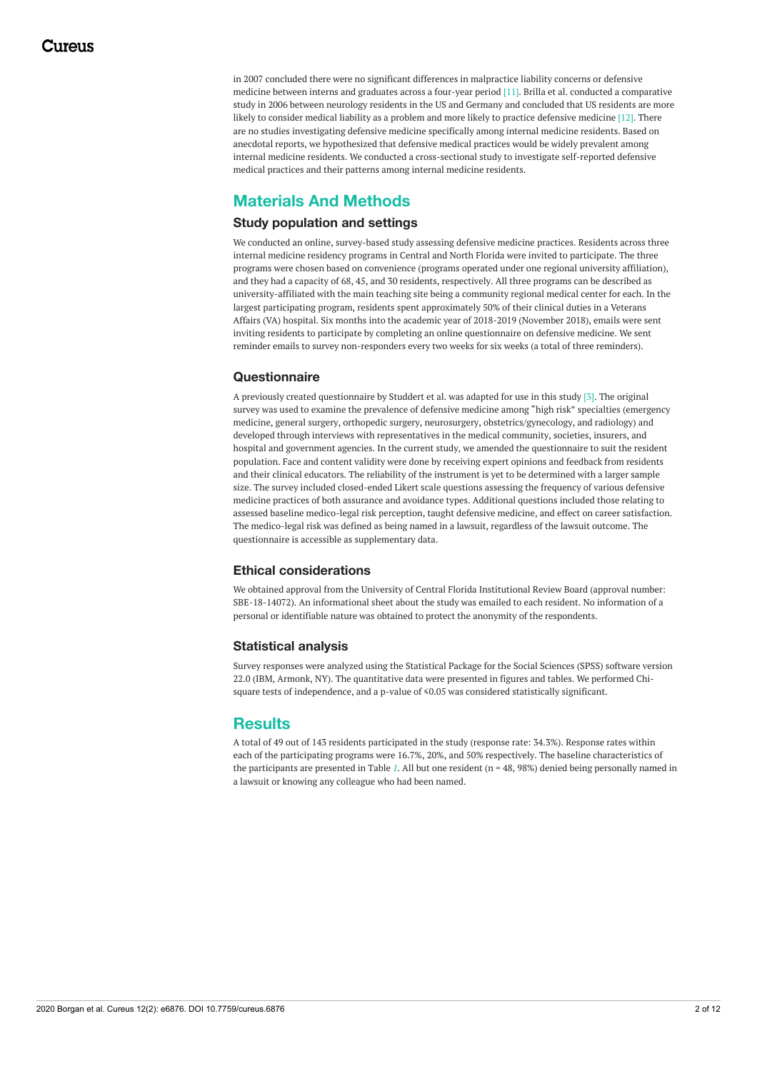in 2007 concluded there were no significant differences in malpractice liability concerns or defensive medicine between interns and graduates across a four-year period [11]. Brilla et al. conducted a comparative study in 2006 between neurology residents in the US and Germany and concluded that US residents are more likely to consider medical liability as a problem and more likely to practice defensive medicine [12]. There are no studies investigating defensive medicine specifically among internal medicine residents. Based on anecdotal reports, we hypothesized that defensive medical practices would be widely prevalent among internal medicine residents. We conducted a cross-sectional study to investigate self-reported defensive medical practices and their patterns among internal medicine residents.

# **Materials And Methods**

### **Study population and settings**

We conducted an online, survey-based study assessing defensive medicine practices. Residents across three internal medicine residency programs in Central and North Florida were invited to participate. The three programs were chosen based on convenience (programs operated under one regional university affiliation), and they had a capacity of 68, 45, and 30 residents, respectively. All three programs can be described as university-affiliated with the main teaching site being a community regional medical center for each. In the largest participating program, residents spent approximately 50% of their clinical duties in a Veterans Affairs (VA) hospital. Six months into the academic year of 2018-2019 (November 2018), emails were sent inviting residents to participate by completing an online questionnaire on defensive medicine. We sent reminder emails to survey non-responders every two weeks for six weeks (a total of three reminders).

### **Questionnaire**

A previously created questionnaire by Studdert et al. was adapted for use in this study [3]. The original survey was used to examine the prevalence of defensive medicine among "high risk" specialties (emergency medicine, general surgery, orthopedic surgery, neurosurgery, obstetrics/gynecology, and radiology) and developed through interviews with representatives in the medical community, societies, insurers, and hospital and government agencies. In the current study, we amended the questionnaire to suit the resident population. Face and content validity were done by receiving expert opinions and feedback from residents and their clinical educators. The reliability of the instrument is yet to be determined with a larger sample size. The survey included closed-ended Likert scale questions assessing the frequency of various defensive medicine practices of both assurance and avoidance types. Additional questions included those relating to assessed baseline medico-legal risk perception, taught defensive medicine, and effect on career satisfaction. The medico-legal risk was defined as being named in a lawsuit, regardless of the lawsuit outcome. The questionnaire is accessible as supplementary data.

### **Ethical considerations**

We obtained approval from the University of Central Florida Institutional Review Board (approval number: SBE-18-14072). An informational sheet about the study was emailed to each resident. No information of a personal or identifiable nature was obtained to protect the anonymity of the respondents.

### **Statistical analysis**

Survey responses were analyzed using the Statistical Package for the Social Sciences (SPSS) software version 22.0 (IBM, Armonk, NY). The quantitative data were presented in figures and tables. We performed Chisquare tests of independence, and a p-value of ≤0.05 was considered statistically significant.

# **Results**

A total of 49 out of 143 residents participated in the study (response rate: 34.3%). Response rates within each of the participating programs were 16.7%, 20%, and 50% respectively. The baseline characteristics of the participants are presented in Table *[1](#page-2-0)*. All but one resident (n = 48, 98%) denied being personally named in a lawsuit or knowing any colleague who had been named.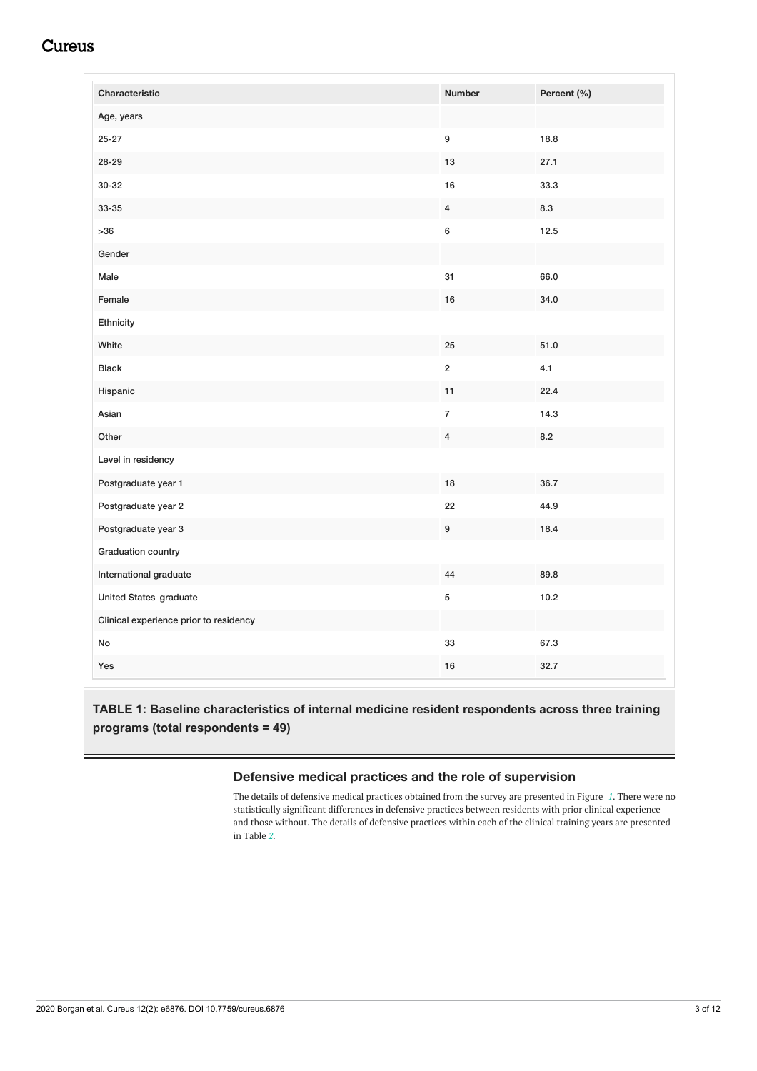<span id="page-2-0"></span>

| Characteristic                         | <b>Number</b>           | Percent (%) |
|----------------------------------------|-------------------------|-------------|
| Age, years                             |                         |             |
| $25 - 27$                              | 9                       | 18.8        |
| 28-29                                  | 13                      | 27.1        |
| 30-32                                  | 16                      | 33.3        |
| 33-35                                  | $\overline{\mathbf{4}}$ | 8.3         |
| $>36$                                  | 6                       | 12.5        |
| Gender                                 |                         |             |
| Male                                   | 31                      | 66.0        |
| Female                                 | 16                      | 34.0        |
| Ethnicity                              |                         |             |
| White                                  | 25                      | $51.0\,$    |
| <b>Black</b>                           | $\overline{2}$          | 4.1         |
| Hispanic                               | 11                      | 22.4        |
| Asian                                  | $\overline{\mathbf{7}}$ | 14.3        |
| Other                                  | $\overline{4}$          | 8.2         |
| Level in residency                     |                         |             |
| Postgraduate year 1                    | 18                      | 36.7        |
| Postgraduate year 2                    | 22                      | 44.9        |
| Postgraduate year 3                    | 9                       | 18.4        |
| Graduation country                     |                         |             |
| International graduate                 | 44                      | 89.8        |
| United States graduate                 | $\mathbf 5$             | 10.2        |
| Clinical experience prior to residency |                         |             |
| No                                     | 33                      | 67.3        |
| Yes                                    | $16\,$                  | 32.7        |

# **TABLE 1: Baseline characteristics of internal medicine resident respondents across three training programs (total respondents = 49)**

## **Defensive medical practices and the role of supervision**

The details of defensive medical practices obtained from the survey are presented in Figure *[1](#page-3-0)*. There were no statistically significant differences in defensive practices between residents with prior clinical experience and those without. The details of defensive practices within each of the clinical training years are presented in Table *[2](#page-4-0)*.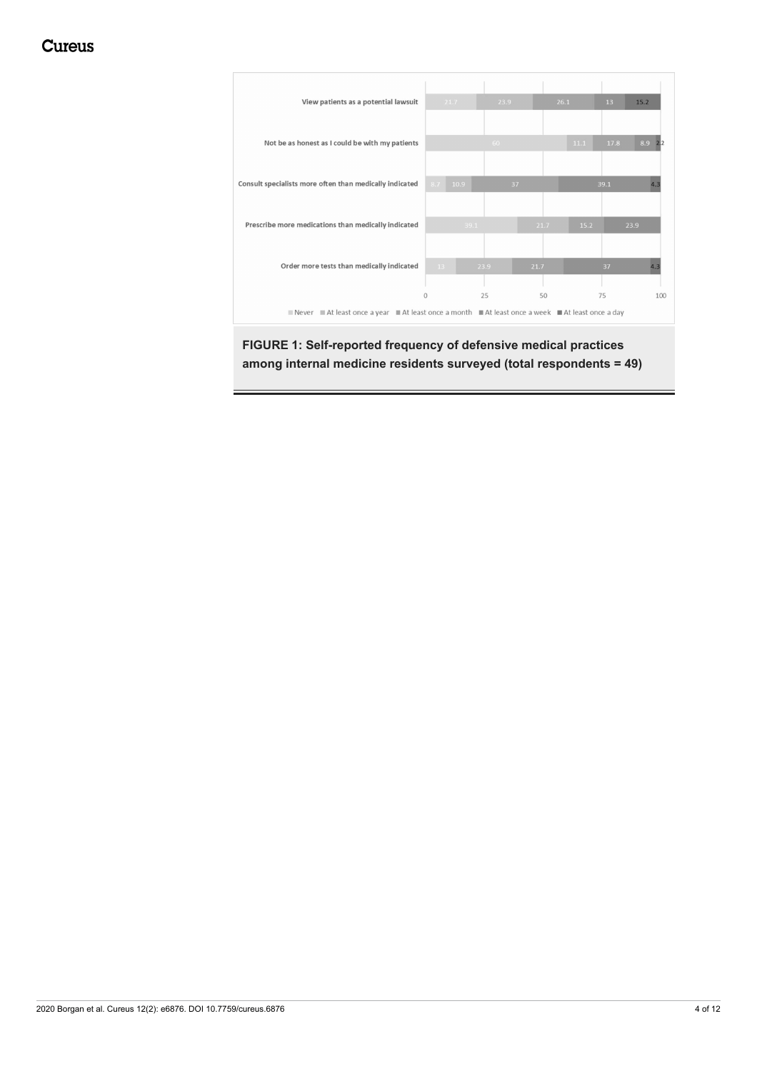<span id="page-3-0"></span>

**FIGURE 1: Self-reported frequency of defensive medical practices among internal medicine residents surveyed (total respondents = 49)**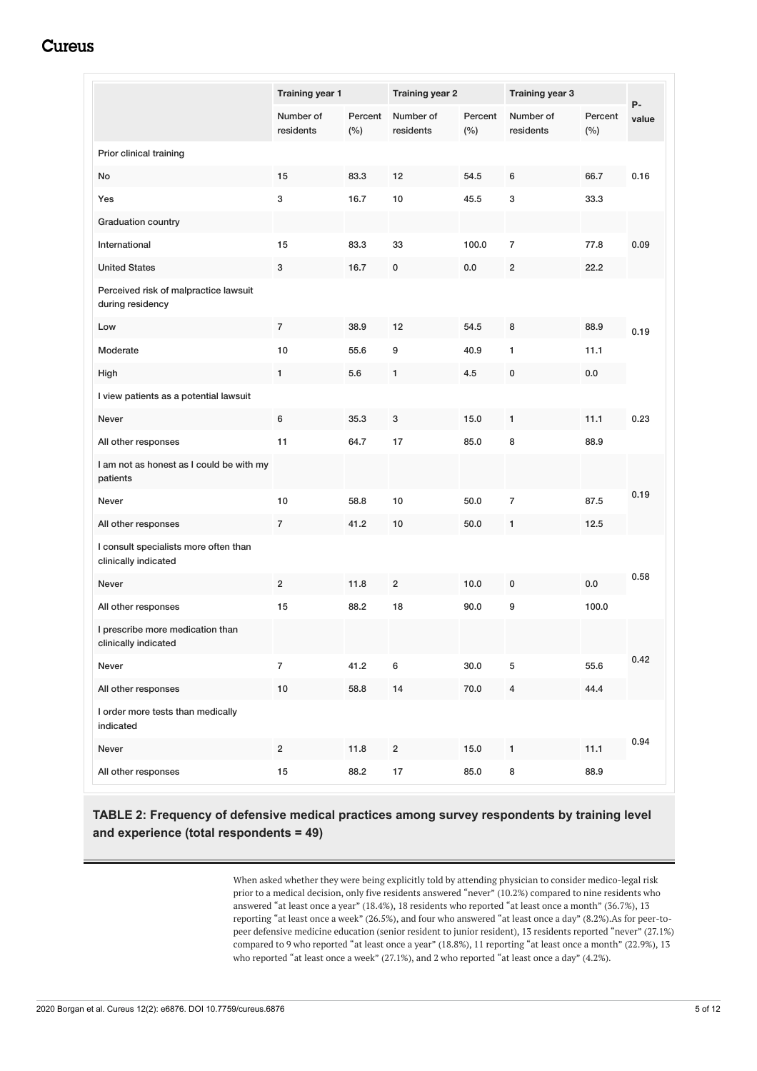<span id="page-4-0"></span>

|                                                               | Training year 1         |                | <b>Training year 2</b> |                | Training year 3         |                |             |
|---------------------------------------------------------------|-------------------------|----------------|------------------------|----------------|-------------------------|----------------|-------------|
|                                                               | Number of<br>residents  | Percent<br>(%) | Number of<br>residents | Percent<br>(%) | Number of<br>residents  | Percent<br>(%) | P-<br>value |
| Prior clinical training                                       |                         |                |                        |                |                         |                |             |
| No                                                            | 15                      | 83.3           | 12                     | 54.5           | 6                       | 66.7           | 0.16        |
| Yes                                                           | 3                       | 16.7           | 10                     | 45.5           | 3                       | 33.3           |             |
| <b>Graduation country</b>                                     |                         |                |                        |                |                         |                |             |
| International                                                 | 15                      | 83.3           | 33                     | 100.0          | 7                       | 77.8           | 0.09        |
| <b>United States</b>                                          | 3                       | 16.7           | 0                      | 0.0            | $\overline{c}$          | 22.2           |             |
| Perceived risk of malpractice lawsuit<br>during residency     |                         |                |                        |                |                         |                |             |
| Low                                                           | $\overline{7}$          | 38.9           | 12                     | 54.5           | 8                       | 88.9           | 0.19        |
| Moderate                                                      | 10                      | 55.6           | 9                      | 40.9           | 1                       | 11.1           |             |
| High                                                          | 1                       | 5.6            | 1                      | 4.5            | 0                       | 0.0            |             |
| I view patients as a potential lawsuit                        |                         |                |                        |                |                         |                |             |
| Never                                                         | 6                       | 35.3           | 3                      | 15.0           | 1                       | 11.1           | 0.23        |
| All other responses                                           | 11                      | 64.7           | 17                     | 85.0           | 8                       | 88.9           |             |
| I am not as honest as I could be with my<br>patients          |                         |                |                        |                |                         |                |             |
| Never                                                         | 10                      | 58.8           | 10                     | 50.0           | $\overline{7}$          | 87.5           | 0.19        |
| All other responses                                           | $\overline{7}$          | 41.2           | 10                     | 50.0           | 1                       | 12.5           |             |
| I consult specialists more often than<br>clinically indicated |                         |                |                        |                |                         |                |             |
| <b>Never</b>                                                  | $\overline{2}$          | 11.8           | $\overline{2}$         | 10.0           | $\mathbf 0$             | 0.0            | 0.58        |
| All other responses                                           | 15                      | 88.2           | 18                     | 90.0           | 9                       | 100.0          |             |
| I prescribe more medication than<br>clinically indicated      |                         |                |                        |                |                         |                |             |
| Never                                                         | $\overline{7}$          | 41.2           | 6                      | 30.0           | 5                       | 55.6           | 0.42        |
| All other responses                                           | $10\,$                  | 58.8           | 14                     | 70.0           | $\overline{\mathbf{4}}$ | 44.4           |             |
| I order more tests than medically<br>indicated                |                         |                |                        |                |                         |                |             |
| Never                                                         | $\overline{\mathbf{c}}$ | 11.8           | $\overline{2}$         | 15.0           | 1                       | 11.1           | 0.94        |
| All other responses                                           | 15                      | 88.2           | 17                     | 85.0           | 8                       | 88.9           |             |

# **TABLE 2: Frequency of defensive medical practices among survey respondents by training level and experience (total respondents = 49)**

When asked whether they were being explicitly told by attending physician to consider medico-legal risk prior to a medical decision, only five residents answered "never" (10.2%) compared to nine residents who answered "at least once a year" (18.4%), 18 residents who reported "at least once a month" (36.7%), 13 reporting "at least once a week" (26.5%), and four who answered "at least once a day" (8.2%).As for peer-topeer defensive medicine education (senior resident to junior resident), 13 residents reported "never" (27.1%) compared to 9 who reported "at least once a year" (18.8%), 11 reporting "at least once a month" (22.9%), 13 who reported "at least once a week" (27.1%), and 2 who reported "at least once a day" (4.2%).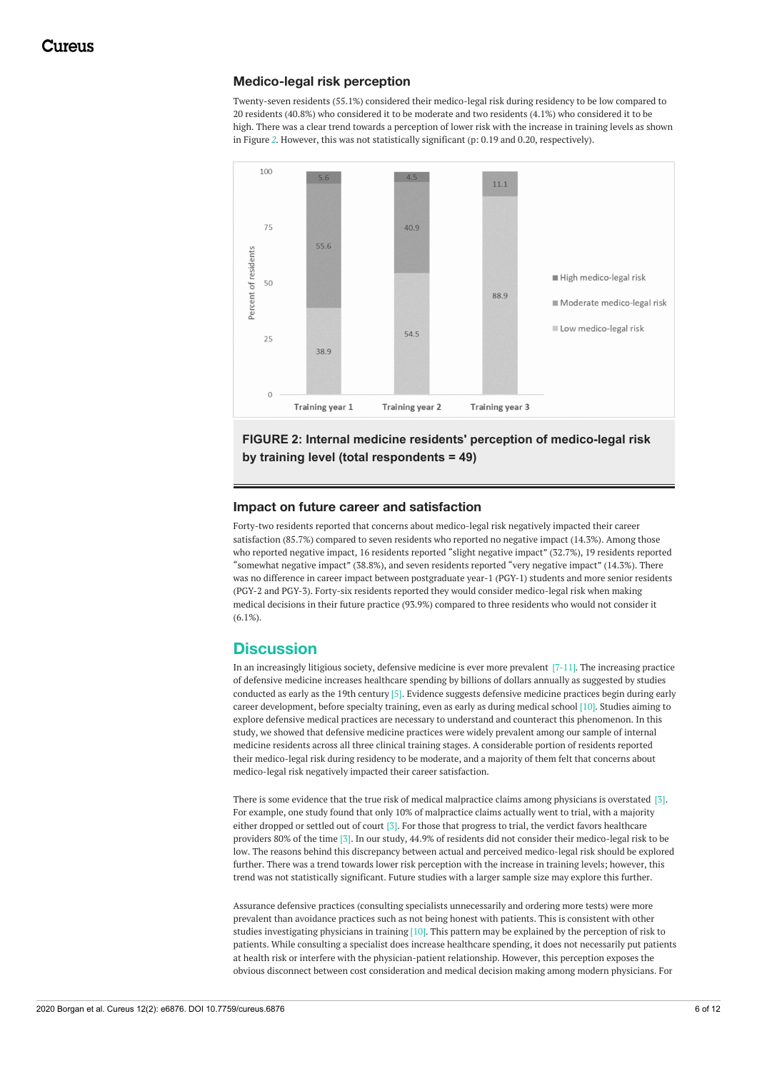### **Medico-legal risk perception**

Twenty-seven residents (55.1%) considered their medico-legal risk during residency to be low compared to 20 residents (40.8%) who considered it to be moderate and two residents (4.1%) who considered it to be high. There was a clear trend towards a perception of lower risk with the increase in training levels as shown in Figure *[2](#page-5-0)*. However, this was not statistically significant (p: 0.19 and 0.20, respectively).

<span id="page-5-0"></span>

## **FIGURE 2: Internal medicine residents' perception of medico-legal risk by training level (total respondents = 49)**

### **Impact on future career and satisfaction**

Forty-two residents reported that concerns about medico-legal risk negatively impacted their career satisfaction (85.7%) compared to seven residents who reported no negative impact (14.3%). Among those who reported negative impact, 16 residents reported "slight negative impact" (32.7%), 19 residents reported "somewhat negative impact" (38.8%), and seven residents reported "very negative impact" (14.3%). There was no difference in career impact between postgraduate year-1 (PGY-1) students and more senior residents (PGY-2 and PGY-3). Forty-six residents reported they would consider medico-legal risk when making medical decisions in their future practice (93.9%) compared to three residents who would not consider it  $(6.1\%)$ .

## **Discussion**

In an increasingly litigious society, defensive medicine is ever more prevalent  $[7-11]$ . The increasing practice of defensive medicine increases healthcare spending by billions of dollars annually as suggested by studies conducted as early as the 19th century [5]. Evidence suggests defensive medicine practices begin during early career development, before specialty training, even as early as during medical school [10]. Studies aiming to explore defensive medical practices are necessary to understand and counteract this phenomenon. In this study, we showed that defensive medicine practices were widely prevalent among our sample of internal medicine residents across all three clinical training stages. A considerable portion of residents reported their medico-legal risk during residency to be moderate, and a majority of them felt that concerns about medico-legal risk negatively impacted their career satisfaction.

There is some evidence that the true risk of medical malpractice claims among physicians is overstated [3]. For example, one study found that only 10% of malpractice claims actually went to trial, with a majority either dropped or settled out of court [3]. For those that progress to trial, the verdict favors healthcare providers 80% of the time [3]. In our study, 44.9% of residents did not consider their medico-legal risk to be low. The reasons behind this discrepancy between actual and perceived medico-legal risk should be explored further. There was a trend towards lower risk perception with the increase in training levels; however, this trend was not statistically significant. Future studies with a larger sample size may explore this further.

Assurance defensive practices (consulting specialists unnecessarily and ordering more tests) were more prevalent than avoidance practices such as not being honest with patients. This is consistent with other studies investigating physicians in training [10]. This pattern may be explained by the perception of risk to patients. While consulting a specialist does increase healthcare spending, it does not necessarily put patients at health risk or interfere with the physician-patient relationship. However, this perception exposes the obvious disconnect between cost consideration and medical decision making among modern physicians. For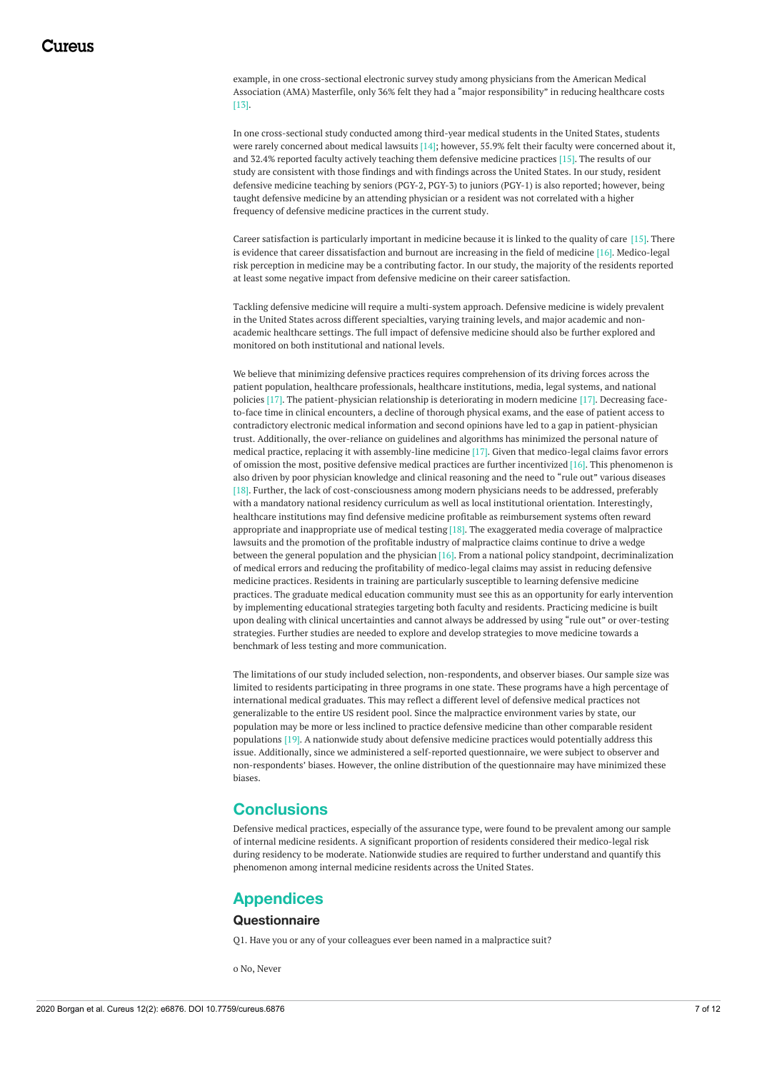example, in one cross-sectional electronic survey study among physicians from the American Medical Association (AMA) Masterfile, only 36% felt they had a "major responsibility" in reducing healthcare costs [13].

In one cross-sectional study conducted among third-year medical students in the United States, students were rarely concerned about medical lawsuits [14]; however, 55.9% felt their faculty were concerned about it, and 32.4% reported faculty actively teaching them defensive medicine practices [15]. The results of our study are consistent with those findings and with findings across the United States. In our study, resident defensive medicine teaching by seniors (PGY-2, PGY-3) to juniors (PGY-1) is also reported; however, being taught defensive medicine by an attending physician or a resident was not correlated with a higher frequency of defensive medicine practices in the current study.

Career satisfaction is particularly important in medicine because it is linked to the quality of care [15]. There is evidence that career dissatisfaction and burnout are increasing in the field of medicine [16]. Medico-legal risk perception in medicine may be a contributing factor. In our study, the majority of the residents reported at least some negative impact from defensive medicine on their career satisfaction.

Tackling defensive medicine will require a multi-system approach. Defensive medicine is widely prevalent in the United States across different specialties, varying training levels, and major academic and nonacademic healthcare settings. The full impact of defensive medicine should also be further explored and monitored on both institutional and national levels.

We believe that minimizing defensive practices requires comprehension of its driving forces across the patient population, healthcare professionals, healthcare institutions, media, legal systems, and national policies [17]. The patient-physician relationship is deteriorating in modern medicine [17]. Decreasing faceto-face time in clinical encounters, a decline of thorough physical exams, and the ease of patient access to contradictory electronic medical information and second opinions have led to a gap in patient-physician trust. Additionally, the over-reliance on guidelines and algorithms has minimized the personal nature of medical practice, replacing it with assembly-line medicine [17]. Given that medico-legal claims favor errors of omission the most, positive defensive medical practices are further incentivized [16]. This phenomenon is also driven by poor physician knowledge and clinical reasoning and the need to "rule out" various diseases [18]. Further, the lack of cost-consciousness among modern physicians needs to be addressed, preferably with a mandatory national residency curriculum as well as local institutional orientation. Interestingly, healthcare institutions may find defensive medicine profitable as reimbursement systems often reward appropriate and inappropriate use of medical testing [18]. The exaggerated media coverage of malpractice lawsuits and the promotion of the profitable industry of malpractice claims continue to drive a wedge between the general population and the physician [16]. From a national policy standpoint, decriminalization of medical errors and reducing the profitability of medico-legal claims may assist in reducing defensive medicine practices. Residents in training are particularly susceptible to learning defensive medicine practices. The graduate medical education community must see this as an opportunity for early intervention by implementing educational strategies targeting both faculty and residents. Practicing medicine is built upon dealing with clinical uncertainties and cannot always be addressed by using "rule out" or over-testing strategies. Further studies are needed to explore and develop strategies to move medicine towards a benchmark of less testing and more communication.

The limitations of our study included selection, non-respondents, and observer biases. Our sample size was limited to residents participating in three programs in one state. These programs have a high percentage of international medical graduates. This may reflect a different level of defensive medical practices not generalizable to the entire US resident pool. Since the malpractice environment varies by state, our population may be more or less inclined to practice defensive medicine than other comparable resident populations [19]. A nationwide study about defensive medicine practices would potentially address this issue. Additionally, since we administered a self-reported questionnaire, we were subject to observer and non-respondents' biases. However, the online distribution of the questionnaire may have minimized these biases.

# **Conclusions**

Defensive medical practices, especially of the assurance type, were found to be prevalent among our sample of internal medicine residents. A significant proportion of residents considered their medico-legal risk during residency to be moderate. Nationwide studies are required to further understand and quantify this phenomenon among internal medicine residents across the United States.

### **Appendices**

### **Questionnaire**

Q1. Have you or any of your colleagues ever been named in a malpractice suit?

o No, Never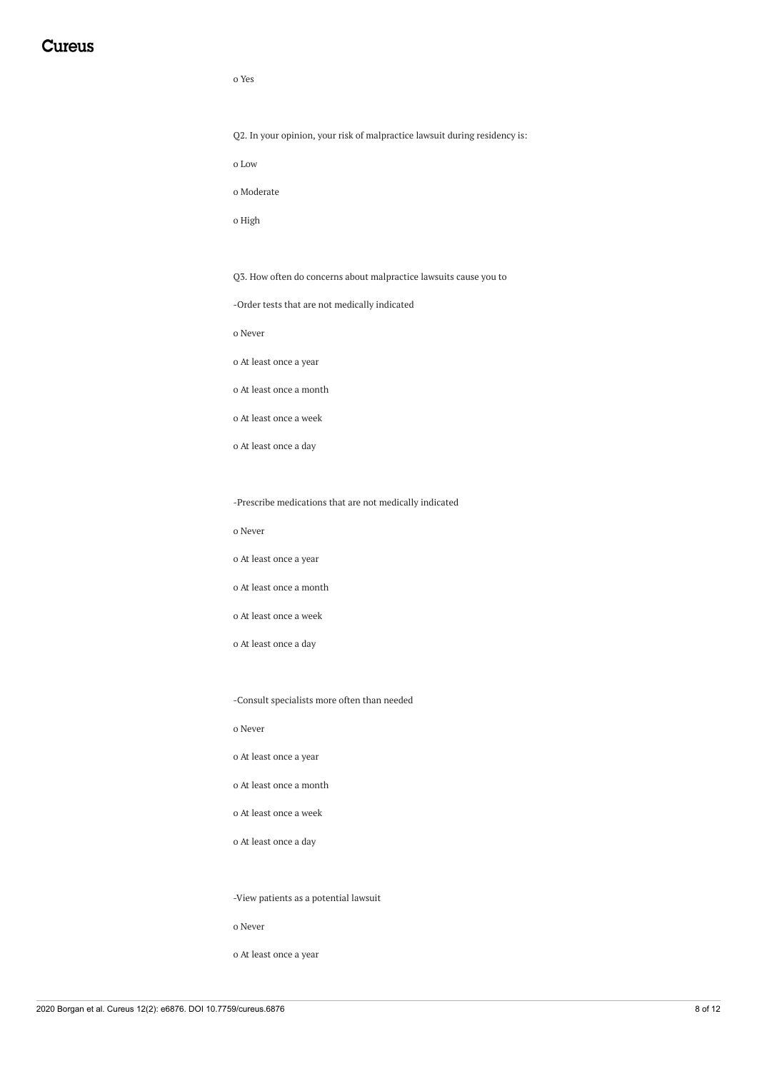#### o Yes

Q2. In your opinion, your risk of malpractice lawsuit during residency is:

o Low

o Moderate

o High

Q3. How often do concerns about malpractice lawsuits cause you to

-Order tests that are not medically indicated

o Never

o At least once a year

o At least once a month

o At least once a week

o At least once a day

-Prescribe medications that are not medically indicated

o Never

o At least once a year

o At least once a month

o At least once a week

o At least once a day

-Consult specialists more often than needed

o Never

o At least once a year

o At least once a month

o At least once a week

o At least once a day

-View patients as a potential lawsuit

o Never

o At least once a year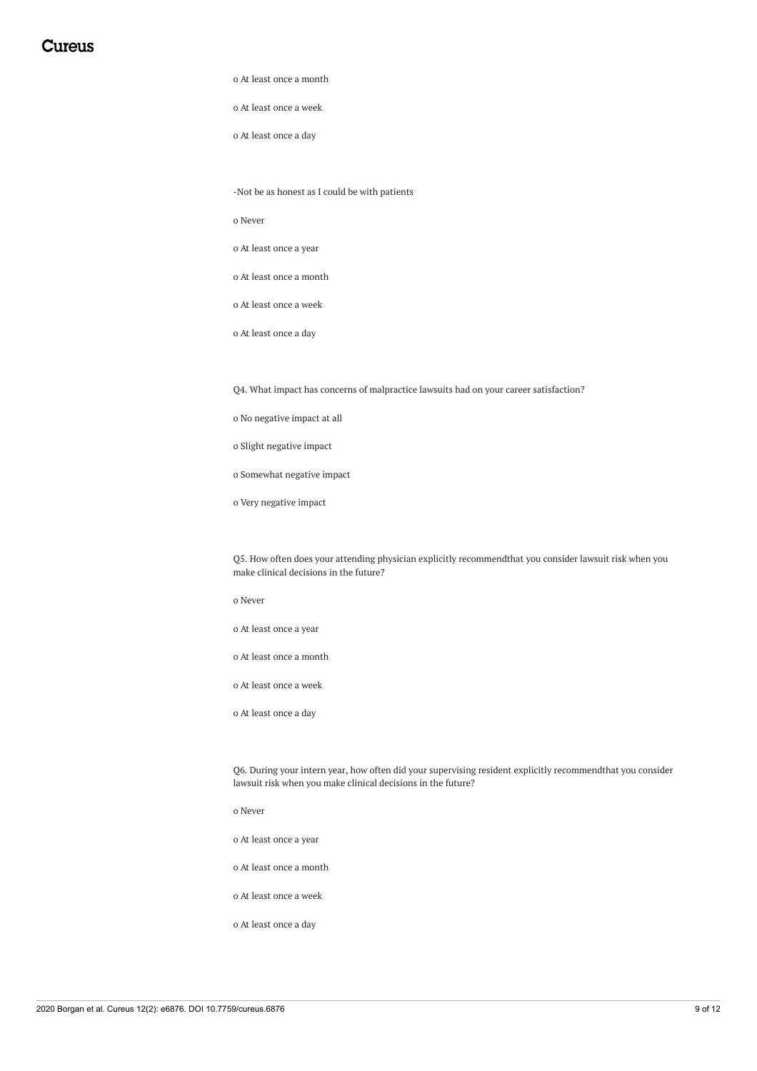o At least once a month

o At least once a week

o At least once a day

-Not be as honest as I could be with patients

o Never

o At least once a year

o At least once a month

o At least once a week

o At least once a day

Q4. What impact has concerns of malpractice lawsuits had on your career satisfaction?

o No negative impact at all

o Slight negative impact

o Somewhat negative impact

o Very negative impact

Q5. How often does your attending physician explicitly recommendthat you consider lawsuit risk when you make clinical decisions in the future?

o Never

o At least once a year

o At least once a month

o At least once a week

o At least once a day

Q6. During your intern year, how often did your supervising resident explicitly recommendthat you consider lawsuit risk when you make clinical decisions in the future?

o Never

o At least once a year

o At least once a month

o At least once a week

o At least once a day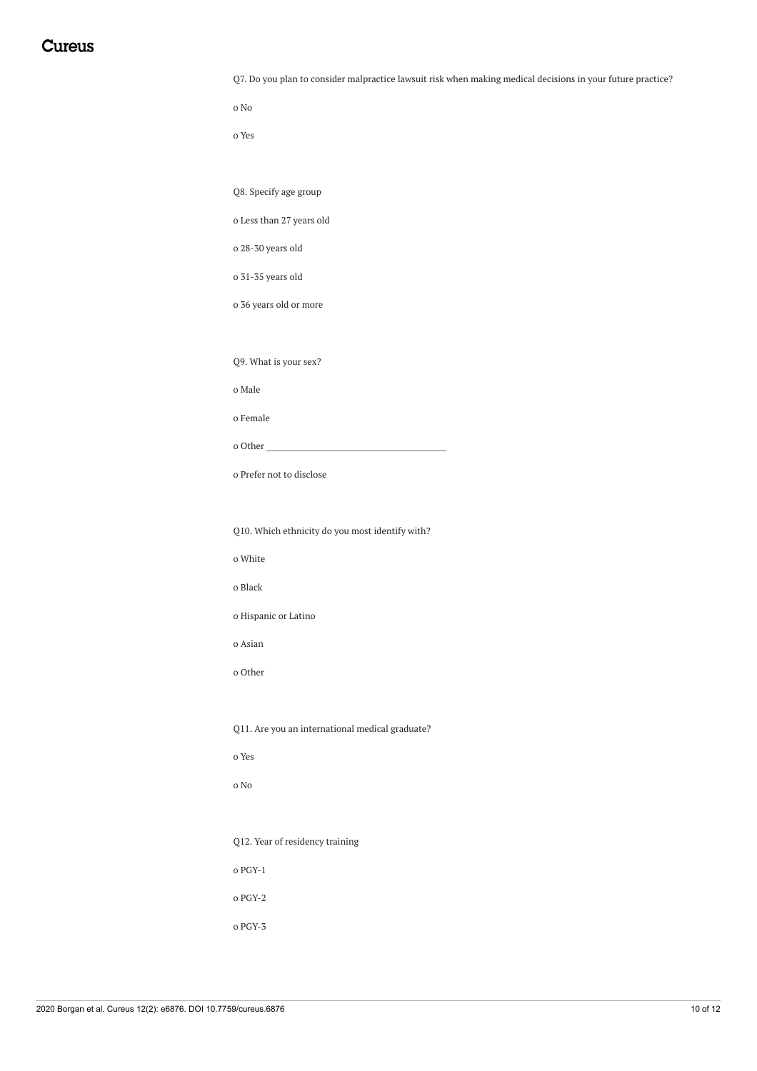| Q7. Do you plan to consider malpractice lawsuit risk when making medical decisions in your future practice? |  |  |
|-------------------------------------------------------------------------------------------------------------|--|--|
|                                                                                                             |  |  |

o No

o Yes

Q8. Specify age group

o Less than 27 years old

o 28-30 years old

o 31-35 years old

o 36 years old or more

Q9. What is your sex?

o Male

o Female

o Other

o Prefer not to disclose

Q10. Which ethnicity do you most identify with?

o White

o Black

o Hispanic or Latino

o Asian

o Other

Q11. Are you an international medical graduate?

o Yes

o No

Q12. Year of residency training

o PGY-1

o PGY-2

o PGY-3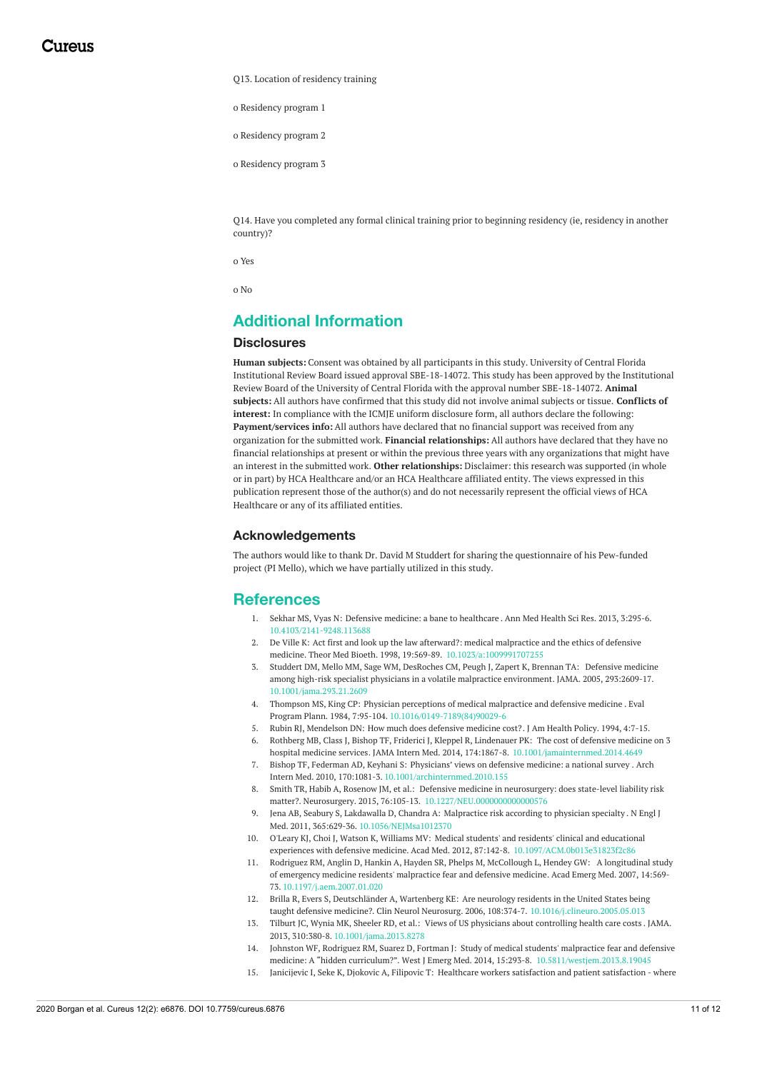Q13. Location of residency training

o Residency program 1

o Residency program 2

o Residency program 3

Q14. Have you completed any formal clinical training prior to beginning residency (ie, residency in another country)?

o Yes

o No

# **Additional Information**

### **Disclosures**

**Human subjects:** Consent was obtained by all participants in this study. University of Central Florida Institutional Review Board issued approval SBE-18-14072. This study has been approved by the Institutional Review Board of the University of Central Florida with the approval number SBE-18-14072. **Animal subjects:** All authors have confirmed that this study did not involve animal subjects or tissue. **Conflicts of interest:** In compliance with the ICMJE uniform disclosure form, all authors declare the following: **Payment/services info:** All authors have declared that no financial support was received from any organization for the submitted work. **Financial relationships:** All authors have declared that they have no financial relationships at present or within the previous three years with any organizations that might have an interest in the submitted work. **Other relationships:** Disclaimer: this research was supported (in whole or in part) by HCA Healthcare and/or an HCA Healthcare affiliated entity. The views expressed in this publication represent those of the author(s) and do not necessarily represent the official views of HCA Healthcare or any of its affiliated entities.

### **Acknowledgements**

The authors would like to thank Dr. David M Studdert for sharing the questionnaire of his Pew-funded project (PI Mello), which we have partially utilized in this study.

### **References**

- 1. Sekhar MS, Vyas N: Defensive medicine: a bane to [healthcare](https://dx.doi.org/10.4103/2141-9248.113688) . Ann Med Health Sci Res. 2013, 3:295-6. [10.4103/2141-9248.113688](https://dx.doi.org/10.4103/2141-9248.113688)
- 2. De Ville K: Act first and look up the law afterward?: medical malpractice and the ethics of defensive medicine. Theor Med Bioeth. 1998, 19:569-89. [10.1023/a:1009991707255](https://dx.doi.org/10.1023/a:1009991707255)
- 3. Studdert DM, Mello MM, Sage WM, DesRoches CM, Peugh J, Zapert K, Brennan TA: Defensive medicine among high-risk specialist physicians in a volatile malpractice [environment.](https://dx.doi.org/10.1001/jama.293.21.2609) JAMA. 2005, 293:2609-17. [10.1001/jama.293.21.2609](https://dx.doi.org/10.1001/jama.293.21.2609)
- 4. Thompson MS, King CP: Physician [perceptions](https://dx.doi.org/10.1016/0149-7189(84)90029-6) of medical malpractice and defensive medicine . Eval Program Plann. 1984, 7:95-104. [10.1016/0149-7189\(84\)90029-6](https://dx.doi.org/10.1016/0149-7189(84)90029-6)
- 5. Rubin RJ, Mendelson DN: How much does [defensive](https://www.ncbi.nlm.nih.gov/pubmed/10136689) medicine cost?. J Am Health Policy. 1994, 4:7-15.
- 6. Rothberg MB, Class J, Bishop TF, Friderici J, Kleppel R, Lindenauer PK: The cost of defensive medicine on 3 hospital medicine services. JAMA Intern Med. 2014, 174:1867-8. [10.1001/jamainternmed.2014.4649](https://dx.doi.org/10.1001/jamainternmed.2014.4649)
- 7. Bishop TF, Federman AD, Keyhani S: [Physicians'](https://dx.doi.org/10.1001/archinternmed.2010.155) views on defensive medicine: a national survey . Arch Intern Med. 2010, 170:1081-3. [10.1001/archinternmed.2010.155](https://dx.doi.org/10.1001/archinternmed.2010.155)
- 8. Smith TR, Habib A, Rosenow JM, et al.: Defensive medicine in neurosurgery: does state-level liability risk matter?. Neurosurgery. 2015, 76:105-13. [10.1227/NEU.0000000000000576](https://dx.doi.org/10.1227/NEU.0000000000000576)
- 9. Jena AB, Seabury S, Lakdawalla D, Chandra A: [Malpractice](https://dx.doi.org/10.1056/NEJMsa1012370) risk according to physician specialty . N Engl J Med. 2011, 365:629-36. [10.1056/NEJMsa1012370](https://dx.doi.org/10.1056/NEJMsa1012370)
- 10. O'Leary KJ, Choi J, Watson K, Williams MV: Medical students' and residents' clinical and educational experiences with defensive medicine. Acad Med. 2012, 87:142-8. [10.1097/ACM.0b013e31823f2c86](https://dx.doi.org/10.1097/ACM.0b013e31823f2c86)
- 11. Rodriguez RM, Anglin D, Hankin A, Hayden SR, Phelps M, McCollough L, Hendey GW: A [longitudinal](https://dx.doi.org/10.1197/j.aem.2007.01.020) study of emergency medicine residents' malpractice fear and defensive medicine. Acad Emerg Med. 2007, 14:569- 73. [10.1197/j.aem.2007.01.020](https://dx.doi.org/10.1197/j.aem.2007.01.020)
- 12. Brilla R, Evers S, Deutschländer A, Wartenberg KE: Are neurology residents in the United States being taught defensive medicine?. Clin Neurol Neurosurg. 2006, 108:374-7. [10.1016/j.clineuro.2005.05.013](https://dx.doi.org/10.1016/j.clineuro.2005.05.013)
- 13. Tilburt JC, Wynia MK, Sheeler RD, et al.: Views of US physicians about [controlling](https://dx.doi.org/10.1001/jama.2013.8278) health care costs . JAMA. 2013, 310:380-8. [10.1001/jama.2013.8278](https://dx.doi.org/10.1001/jama.2013.8278)
- 14. Johnston WF, Rodriguez RM, Suarez D, Fortman J: Study of medical students' malpractice fear and defensive medicine: A "hidden curriculum?". West J Emerg Med. 2014, 15:293-8. [10.5811/westjem.2013.8.19045](https://dx.doi.org/10.5811/westjem.2013.8.19045)
- 15. Janicijevic I, Seke K, Djokovic A, Filipovic T: Healthcare workers [satisfaction](https://www.ncbi.nlm.nih.gov/pmc/articles/PMC3743622/) and patient satisfaction where